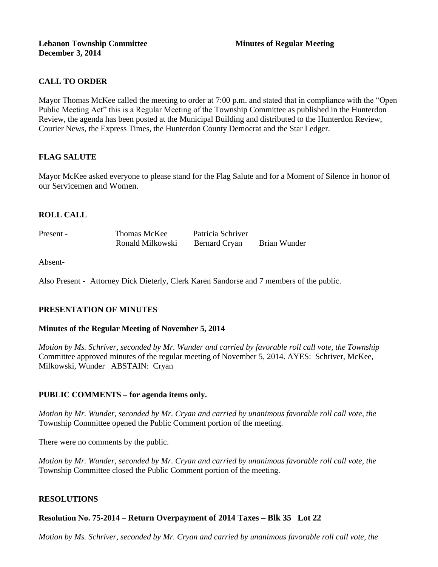#### **Lebanon Township Committee Minutes of Regular Meeting December 3, 2014**

# **CALL TO ORDER**

Mayor Thomas McKee called the meeting to order at 7:00 p.m. and stated that in compliance with the "Open Public Meeting Act" this is a Regular Meeting of the Township Committee as published in the Hunterdon Review, the agenda has been posted at the Municipal Building and distributed to the Hunterdon Review, Courier News, the Express Times, the Hunterdon County Democrat and the Star Ledger.

## **FLAG SALUTE**

Mayor McKee asked everyone to please stand for the Flag Salute and for a Moment of Silence in honor of our Servicemen and Women.

# **ROLL CALL**

Present - Thomas McKee Patricia Schriver Ronald Milkowski Bernard Cryan Brian Wunder

Absent-

Also Present - Attorney Dick Dieterly, Clerk Karen Sandorse and 7 members of the public.

## **PRESENTATION OF MINUTES**

#### **Minutes of the Regular Meeting of November 5, 2014**

*Motion by Ms. Schriver, seconded by Mr. Wunder and carried by favorable roll call vote, the Township* Committee approved minutes of the regular meeting of November 5, 2014. AYES: Schriver, McKee, Milkowski, Wunder ABSTAIN: Cryan

## **PUBLIC COMMENTS – for agenda items only.**

*Motion by Mr. Wunder, seconded by Mr. Cryan and carried by unanimous favorable roll call vote, the* Township Committee opened the Public Comment portion of the meeting.

There were no comments by the public.

*Motion by Mr. Wunder, seconded by Mr. Cryan and carried by unanimous favorable roll call vote, the* Township Committee closed the Public Comment portion of the meeting.

#### **RESOLUTIONS**

## **Resolution No. 75-2014 – Return Overpayment of 2014 Taxes – Blk 35 Lot 22**

*Motion by Ms. Schriver, seconded by Mr. Cryan and carried by unanimous favorable roll call vote, the*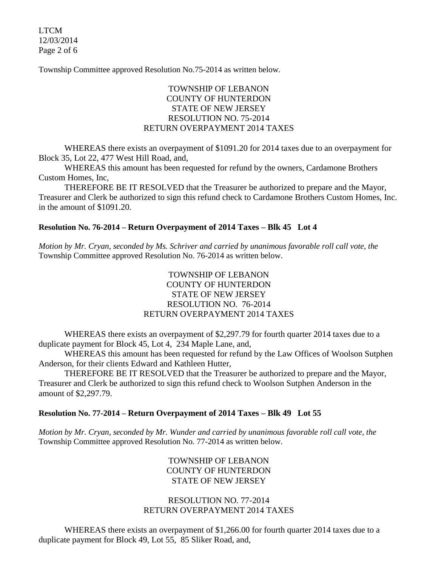LTCM 12/03/2014 Page 2 of 6

Township Committee approved Resolution No.75-2014 as written below.

# TOWNSHIP OF LEBANON COUNTY OF HUNTERDON STATE OF NEW JERSEY RESOLUTION NO. 75-2014 RETURN OVERPAYMENT 2014 TAXES

WHEREAS there exists an overpayment of \$1091.20 for 2014 taxes due to an overpayment for Block 35, Lot 22, 477 West Hill Road, and,

WHEREAS this amount has been requested for refund by the owners, Cardamone Brothers Custom Homes, Inc,

THEREFORE BE IT RESOLVED that the Treasurer be authorized to prepare and the Mayor, Treasurer and Clerk be authorized to sign this refund check to Cardamone Brothers Custom Homes, Inc. in the amount of \$1091.20.

## **Resolution No. 76-2014 – Return Overpayment of 2014 Taxes – Blk 45 Lot 4**

*Motion by Mr. Cryan, seconded by Ms. Schriver and carried by unanimous favorable roll call vote, the* Township Committee approved Resolution No. 76-2014 as written below.

# TOWNSHIP OF LEBANON COUNTY OF HUNTERDON STATE OF NEW JERSEY RESOLUTION NO. 76-2014 RETURN OVERPAYMENT 2014 TAXES

WHEREAS there exists an overpayment of \$2,297.79 for fourth quarter 2014 taxes due to a duplicate payment for Block 45, Lot 4, 234 Maple Lane, and,

WHEREAS this amount has been requested for refund by the Law Offices of Woolson Sutphen Anderson, for their clients Edward and Kathleen Hutter,

THEREFORE BE IT RESOLVED that the Treasurer be authorized to prepare and the Mayor, Treasurer and Clerk be authorized to sign this refund check to Woolson Sutphen Anderson in the amount of \$2,297.79.

## **Resolution No. 77-2014 – Return Overpayment of 2014 Taxes – Blk 49 Lot 55**

*Motion by Mr. Cryan, seconded by Mr. Wunder and carried by unanimous favorable roll call vote, the* Township Committee approved Resolution No. 77-2014 as written below.

# TOWNSHIP OF LEBANON COUNTY OF HUNTERDON STATE OF NEW JERSEY

## RESOLUTION NO. 77-2014 RETURN OVERPAYMENT 2014 TAXES

WHEREAS there exists an overpayment of \$1,266.00 for fourth quarter 2014 taxes due to a duplicate payment for Block 49, Lot 55, 85 Sliker Road, and,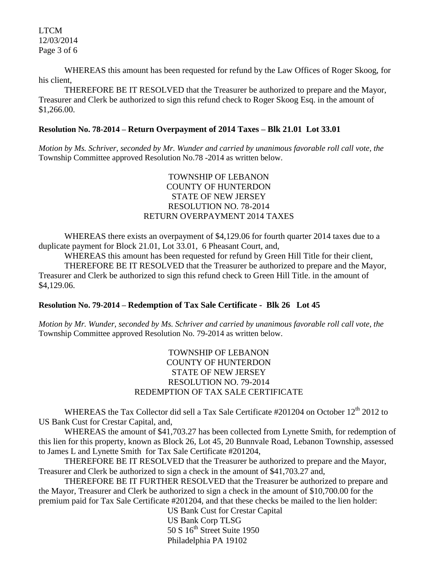LTCM 12/03/2014 Page 3 of 6

WHEREAS this amount has been requested for refund by the Law Offices of Roger Skoog, for his client,

THEREFORE BE IT RESOLVED that the Treasurer be authorized to prepare and the Mayor, Treasurer and Clerk be authorized to sign this refund check to Roger Skoog Esq. in the amount of \$1,266.00.

## **Resolution No. 78-2014 – Return Overpayment of 2014 Taxes – Blk 21.01 Lot 33.01**

*Motion by Ms. Schriver, seconded by Mr. Wunder and carried by unanimous favorable roll call vote, the* Township Committee approved Resolution No.78 -2014 as written below.

# TOWNSHIP OF LEBANON COUNTY OF HUNTERDON STATE OF NEW JERSEY RESOLUTION NO. 78-2014 RETURN OVERPAYMENT 2014 TAXES

WHEREAS there exists an overpayment of \$4,129.06 for fourth quarter 2014 taxes due to a duplicate payment for Block 21.01, Lot 33.01, 6 Pheasant Court, and,

WHEREAS this amount has been requested for refund by Green Hill Title for their client, THEREFORE BE IT RESOLVED that the Treasurer be authorized to prepare and the Mayor, Treasurer and Clerk be authorized to sign this refund check to Green Hill Title. in the amount of \$4,129.06.

## **Resolution No. 79-2014 – Redemption of Tax Sale Certificate - Blk 26 Lot 45**

*Motion by Mr. Wunder, seconded by Ms. Schriver and carried by unanimous favorable roll call vote, the* Township Committee approved Resolution No. 79-2014 as written below.

# TOWNSHIP OF LEBANON COUNTY OF HUNTERDON STATE OF NEW JERSEY RESOLUTION NO. 79-2014 REDEMPTION OF TAX SALE CERTIFICATE

WHEREAS the Tax Collector did sell a Tax Sale Certificate #201204 on October 12<sup>th</sup> 2012 to US Bank Cust for Crestar Capital, and,

WHEREAS the amount of \$41,703.27 has been collected from Lynette Smith, for redemption of this lien for this property, known as Block 26, Lot 45, 20 Bunnvale Road, Lebanon Township, assessed to James L and Lynette Smith for Tax Sale Certificate #201204,

THEREFORE BE IT RESOLVED that the Treasurer be authorized to prepare and the Mayor, Treasurer and Clerk be authorized to sign a check in the amount of \$41,703.27 and,

THEREFORE BE IT FURTHER RESOLVED that the Treasurer be authorized to prepare and the Mayor, Treasurer and Clerk be authorized to sign a check in the amount of \$10,700.00 for the premium paid for Tax Sale Certificate #201204, and that these checks be mailed to the lien holder:

> US Bank Cust for Crestar Capital US Bank Corp TLSG 50 S 16<sup>th</sup> Street Suite 1950 Philadelphia PA 19102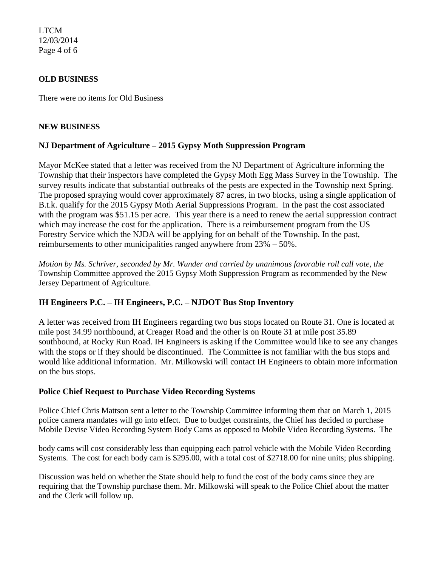LTCM 12/03/2014 Page 4 of 6

## **OLD BUSINESS**

There were no items for Old Business

#### **NEW BUSINESS**

# **NJ Department of Agriculture – 2015 Gypsy Moth Suppression Program**

Mayor McKee stated that a letter was received from the NJ Department of Agriculture informing the Township that their inspectors have completed the Gypsy Moth Egg Mass Survey in the Township. The survey results indicate that substantial outbreaks of the pests are expected in the Township next Spring. The proposed spraying would cover approximately 87 acres, in two blocks, using a single application of B.t.k. qualify for the 2015 Gypsy Moth Aerial Suppressions Program. In the past the cost associated with the program was \$51.15 per acre. This year there is a need to renew the aerial suppression contract which may increase the cost for the application. There is a reimbursement program from the US Forestry Service which the NJDA will be applying for on behalf of the Township. In the past, reimbursements to other municipalities ranged anywhere from 23% – 50%.

*Motion by Ms. Schriver, seconded by Mr. Wunder and carried by unanimous favorable roll call vote, the* Township Committee approved the 2015 Gypsy Moth Suppression Program as recommended by the New Jersey Department of Agriculture.

## **IH Engineers P.C. – IH Engineers, P.C. – NJDOT Bus Stop Inventory**

A letter was received from IH Engineers regarding two bus stops located on Route 31. One is located at mile post 34.99 northbound, at Creager Road and the other is on Route 31 at mile post 35.89 southbound, at Rocky Run Road. IH Engineers is asking if the Committee would like to see any changes with the stops or if they should be discontinued. The Committee is not familiar with the bus stops and would like additional information. Mr. Milkowski will contact IH Engineers to obtain more information on the bus stops.

## **Police Chief Request to Purchase Video Recording Systems**

Police Chief Chris Mattson sent a letter to the Township Committee informing them that on March 1, 2015 police camera mandates will go into effect.Due to budget constraints, the Chief has decided to purchase Mobile Devise Video Recording System Body Cams as opposed to Mobile Video Recording Systems. The

body cams will cost considerably less than equipping each patrol vehicle with the Mobile Video Recording Systems. The cost for each body cam is \$295.00, with a total cost of \$2718.00 for nine units; plus shipping.

Discussion was held on whether the State should help to fund the cost of the body cams since they are requiring that the Township purchase them. Mr. Milkowski will speak to the Police Chief about the matter and the Clerk will follow up.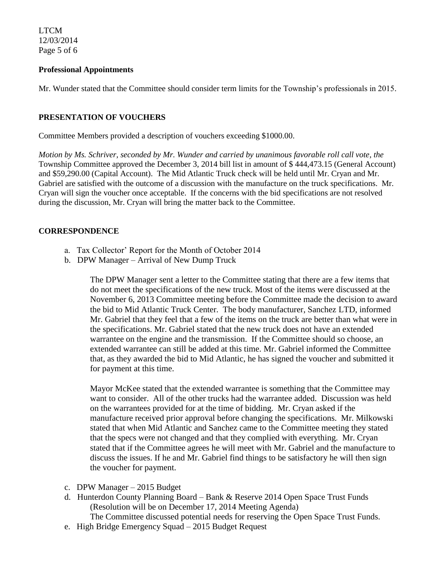LTCM 12/03/2014 Page 5 of 6

#### **Professional Appointments**

Mr. Wunder stated that the Committee should consider term limits for the Township's professionals in 2015.

#### **PRESENTATION OF VOUCHERS**

Committee Members provided a description of vouchers exceeding \$1000.00.

*Motion by Ms. Schriver, seconded by Mr. Wunder and carried by unanimous favorable roll call vote, the* Township Committee approved the December 3, 2014 bill list in amount of \$ 444,473.15 (General Account) and \$59,290.00 (Capital Account). The Mid Atlantic Truck check will be held until Mr. Cryan and Mr. Gabriel are satisfied with the outcome of a discussion with the manufacture on the truck specifications. Mr. Cryan will sign the voucher once acceptable. If the concerns with the bid specifications are not resolved during the discussion, Mr. Cryan will bring the matter back to the Committee.

#### **CORRESPONDENCE**

- a. Tax Collector' Report for the Month of October 2014
- b. DPW Manager Arrival of New Dump Truck

The DPW Manager sent a letter to the Committee stating that there are a few items that do not meet the specifications of the new truck. Most of the items were discussed at the November 6, 2013 Committee meeting before the Committee made the decision to award the bid to Mid Atlantic Truck Center. The body manufacturer, Sanchez LTD, informed Mr. Gabriel that they feel that a few of the items on the truck are better than what were in the specifications. Mr. Gabriel stated that the new truck does not have an extended warrantee on the engine and the transmission. If the Committee should so choose, an extended warrantee can still be added at this time. Mr. Gabriel informed the Committee that, as they awarded the bid to Mid Atlantic, he has signed the voucher and submitted it for payment at this time.

Mayor McKee stated that the extended warrantee is something that the Committee may want to consider. All of the other trucks had the warrantee added. Discussion was held on the warrantees provided for at the time of bidding. Mr. Cryan asked if the manufacture received prior approval before changing the specifications. Mr. Milkowski stated that when Mid Atlantic and Sanchez came to the Committee meeting they stated that the specs were not changed and that they complied with everything. Mr. Cryan stated that if the Committee agrees he will meet with Mr. Gabriel and the manufacture to discuss the issues. If he and Mr. Gabriel find things to be satisfactory he will then sign the voucher for payment.

- c. DPW Manager 2015 Budget
- d. Hunterdon County Planning Board Bank & Reserve 2014 Open Space Trust Funds (Resolution will be on December 17, 2014 Meeting Agenda)

The Committee discussed potential needs for reserving the Open Space Trust Funds.

e. High Bridge Emergency Squad – 2015 Budget Request